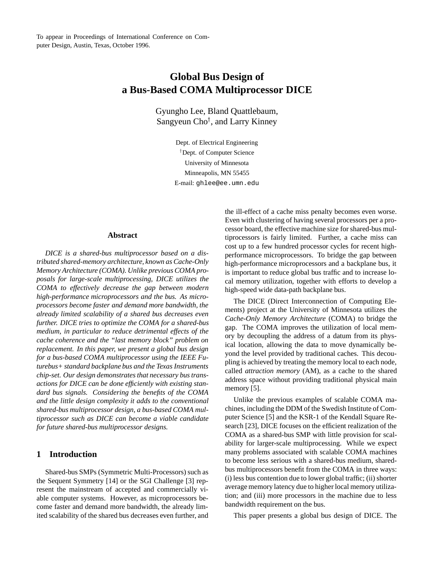# **Global Bus Design of a Bus-Based COMA Multiprocessor DICE**

Gyungho Lee, Bland Quattlebaum, Sangyeun Cho<sup>†</sup>, and Larry Kinney

> Dept. of Electrical Engineering <sup>†</sup>Dept. of Computer Science University of Minnesota Minneapolis, MN 55455 E-mail: ghlee@ee.umn.edu

#### **Abstract**

*DICE is a shared-bus multiprocessor based on a distributed shared-memory architecture, known as Cache-Only Memory Architecture (COMA). Unlike previous COMA proposals for large-scale multiprocessing, DICE utilizes the COMA to effectively decrease the gap between modern high-performance microprocessors and the bus. As microprocessors become faster and demand more bandwidth, the already limited scalability of a shared bus decreases even further. DICE tries to optimize the COMA for a shared-bus medium, in particular to reduce detrimental effects of the cache coherence and the "last memory block" problem on replacement. In this paper, we present a global bus design for a bus-based COMA multiprocessor using the IEEE Futurebus+ standard backplane bus and the Texas Instruments chip-set. Our design demonstrates that necessary bus transactions for DICE can be done efficiently with existing standard bus signals. Considering the benefits of the COMA and the little design complexity it adds to the conventional shared-bus multiprocessor design, a bus-based COMA multiprocessor such as DICE can become a viable candidate for future shared-bus multiprocessor designs.*

## **1 Introduction**

Shared-bus SMPs (Symmetric Multi-Processors) such as the Sequent Symmetry [14] or the SGI Challenge [3] represent the mainstream of accepted and commercially viable computer systems. However, as microprocessors become faster and demand more bandwidth, the already limited scalability of the shared bus decreases even further, and the ill-effect of a cache miss penalty becomes even worse. Even with clustering of having several processors per a processor board, the effective machine size for shared-bus multiprocessors is fairly limited. Further, a cache miss can cost up to a few hundred processor cycles for recent highperformance microprocessors. To bridge the gap between high-performance microprocessors and a backplane bus, it is important to reduce global bus traffic and to increase local memory utilization, together with efforts to develop a high-speed wide data-path backplane bus.

The DICE (Direct Interconnection of Computing Elements) project at the University of Minnesota utilizes the *Cache-Only Memory Architecture* (COMA) to bridge the gap. The COMA improves the utilization of local memory by decoupling the address of a datum from its physical location, allowing the data to move dynamically beyond the level provided by traditional caches. This decoupling is achieved by treating the memory local to each node, called *attraction memory* (AM), as a cache to the shared address space without providing traditional physical main memory [5].

Unlike the previous examples of scalable COMA machines, including the DDM of the Swedish Institute of Computer Science [5] and the KSR-1 of the Kendall Square Research [23], DICE focuses on the efficient realization of the COMA as a shared-bus SMP with little provision for scalability for larger-scale multiprocessing. While we expect many problems associated with scalable COMA machines to become less serious with a shared-bus medium, sharedbus multiprocessors benefit from the COMA in three ways: (i) less bus contention due to lower global traffic; (ii) shorter average memory latency due to higher local memory utilization; and (iii) more processors in the machine due to less bandwidth requirement on the bus.

This paper presents a global bus design of DICE. The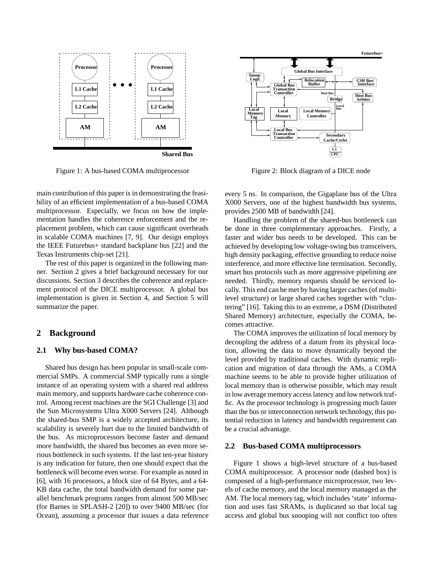

Figure 1: A bus-based COMA multiprocessor

main contribution of this paper is in demonstrating the feasibility of an efficient implementation of a bus-based COMA multiprocessor. Especially, we focus on how the implementation handles the coherence enforcement and the replacement problem, which can cause significant overheads in scalable COMA machines [7, 9]. Our design employs the IEEE Futurebus+ standard backplane bus [22] and the Texas Instruments chip-set [21].

The rest of this paper is organized in the following manner. Section 2 gives a brief background necessary for our discussions. Section 3 describes the coherence and replacement protocol of the DICE multiprocessor. A global bus implementation is given in Section 4, and Section 5 will summarize the paper.

## **2 Background**

#### **2.1 Why bus-based COMA?**

Shared bus design has been popular in small-scale commercial SMPs. A commercial SMP typically runs a single instance of an operating system with a shared real address main memory, and supports hardware cache coherence control. Among recent machines are the SGI Challenge [3] and the Sun Microsystems Ultra X000 Servers [24]. Although the shared-bus SMP is a widely accepted architecture, its scalability is severely hurt due to the limited bandwidth of the bus. As microprocessors become faster and demand more bandwidth, the shared bus becomes an even more serious bottleneck in such systems. If the last ten-year history is any indication for future, then one should expect that the bottleneck will become even worse. For example as noted in [6], with 16 processors, a block size of 64 Bytes, and a 64- KB data cache, the total bandwidth demand for some parallel benchmark programs ranges from almost 500 MB/sec (for Barnes in SPLASH-2 [20]) to over 9400 MB/sec (for Ocean), assuming a processor that issues a data reference



Figure 2: Block diagram of a DICE node

every 5 ns. In comparison, the Gigaplane bus of the Ultra X000 Servers, one of the highest bandwidth bus systems, provides 2500 MB of bandwidth [24].

Handling the problem of the shared-bus bottleneck can be done in three complementary approaches. Firstly, a faster and wider bus needs to be developed. This can be achieved by developing low voltage-swing bus transceivers, high density packaging, effective grounding to reduce noise interference, and more effective line termination. Secondly, smart bus protocols such as more aggressive pipelining are needed. Thirdly, memory requests should be serviced locally. This end can be met by having larger caches (of multilevel structure) or large shared caches together with "clustering" [16]. Taking this to an extreme, a DSM (Distributed Shared Memory) architecture, especially the COMA, becomes attractive.

The COMA improves the utilization of local memory by decoupling the address of a datum from its physical location, allowing the data to move dynamically beyond the level provided by traditional caches. With dynamic replication and migration of data through the AMs, a COMA machine seems to be able to provide higher utilization of local memory than is otherwise possible, which may result in low average memory access latency and low network traffic. As the processor technology is progressing much faster than the bus or interconnection network technology, this potential reduction in latency and bandwidth requirement can be a crucial advantage.

#### **2.2 Bus-based COMA multiprocessors**

Figure 1 shows a high-level structure of a bus-based COMA multiprocessor. A processor node (dashed box) is composed of a high-performance microprocessor, two levels of cache memory, and the local memory managed as the AM. The local memory tag, which includes 'state' information and uses fast SRAMs, is duplicated so that local tag access and global bus snooping will not conflict too often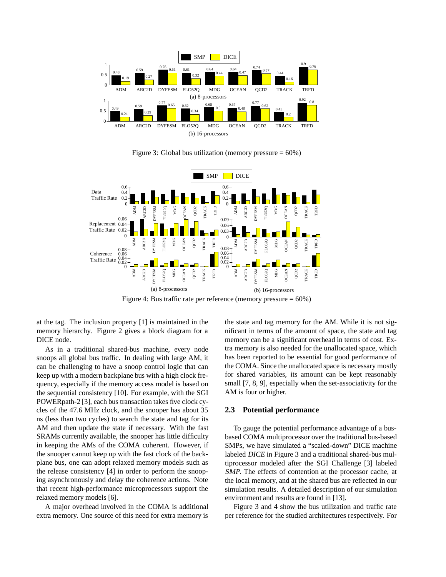

Figure 3: Global bus utilization (memory pressure  $= 60\%$ )



Figure 4: Bus traffic rate per reference (memory pressure  $= 60\%$ )

at the tag. The inclusion property [1] is maintained in the memory hierarchy. Figure 2 gives a block diagram for a DICE node.

As in a traditional shared-bus machine, every node snoops all global bus traffic. In dealing with large AM, it can be challenging to have a snoop control logic that can keep up with a modern backplane bus with a high clock frequency, especially if the memory access model is based on the sequential consistency [10]. For example, with the SGI POWERpath-2 [3], each bus transaction takes five clock cycles of the 47.6 MHz clock, and the snooper has about 35 ns (less than two cycles) to search the state and tag for its AM and then update the state if necessary. With the fast SRAMs currently available, the snooper has little difficulty in keeping the AMs of the COMA coherent. However, if the snooper cannot keep up with the fast clock of the backplane bus, one can adopt relaxed memory models such as the release consistency [4] in order to perform the snooping asynchronously and delay the coherence actions. Note that recent high-performance microprocessors support the relaxed memory models [6].

A major overhead involved in the COMA is additional extra memory. One source of this need for extra memory is the state and tag memory for the AM. While it is not significant in terms of the amount of space, the state and tag memory can be a significant overhead in terms of cost. Extra memory is also needed for the unallocated space, which has been reported to be essential for good performance of the COMA. Since the unallocated space is necessary mostly for shared variables, its amount can be kept reasonably small [7, 8, 9], especially when the set-associativity for the AM is four or higher.

#### **2.3 Potential performance**

To gauge the potential performance advantage of a busbased COMA multiprocessor over the traditional bus-based SMPs, we have simulated a "scaled-down" DICE machine labeled DICE in Figure 3 and a traditional shared-bus multiprocessor modeled after the SGI Challenge [3] labeled SMP. The effects of contention at the processor cache, at the local memory, and at the shared bus are reflected in our simulation results. A detailed description of our simulation environment and results are found in [13].

Figure 3 and 4 show the bus utilization and traffic rate per reference for the studied architectures respectively. For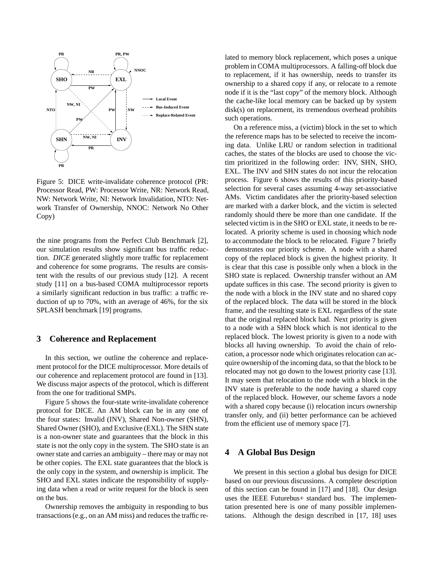

Figure 5: DICE write-invalidate coherence protocol (PR: Processor Read, PW: Processor Write, NR: Network Read, NW: Network Write, NI: Network Invalidation, NTO: Network Transfer of Ownership, NNOC: Network No Other Copy)

the nine programs from the Perfect Club Benchmark [2], our simulation results show significant bus traffic reduction. DICE generated slightly more traffic for replacement and coherence for some programs. The results are consistent with the results of our previous study [12]. A recent study [11] on a bus-based COMA multiprocessor reports a similarly significant reduction in bus traffic: a traffic reduction of up to 70%, with an average of 46%, for the six SPLASH benchmark [19] programs.

## **3 Coherence and Replacement**

In this section, we outline the coherence and replacement protocol for the DICE multiprocessor. More details of our coherence and replacement protocol are found in [13]. We discuss major aspects of the protocol, which is different from the one for traditional SMPs.

Figure 5 shows the four-state write-invalidate coherence protocol for DICE. An AM block can be in any one of the four states: Invalid (INV), Shared Non-owner (SHN), Shared Owner (SHO), and Exclusive (EXL). The SHN state is a non-owner state and guarantees that the block in this state is not the only copy in the system. The SHO state is an owner state and carries an ambiguity – there may or may not be other copies. The EXL state guarantees that the block is the only copy in the system, and ownership is implicit. The SHO and EXL states indicate the responsibility of supplying data when a read or write request for the block is seen on the bus.

Ownership removes the ambiguity in responding to bus transactions (e.g., on an AM miss) and reduces the traffic related to memory block replacement, which poses a unique problem in COMA multiprocessors. A falling-off block due to replacement, if it has ownership, needs to transfer its ownership to a shared copy if any, or relocate to a remote node if it is the "last copy" of the memory block. Although the cache-like local memory can be backed up by system disk(s) on replacement, its tremendous overhead prohibits such operations.

On a reference miss, a (victim) block in the set to which the reference maps has to be selected to receive the incoming data. Unlike LRU or random selection in traditional caches, the states of the blocks are used to choose the victim prioritized in the following order: INV, SHN, SHO, EXL. The INV and SHN states do not incur the relocation process. Figure 6 shows the results of this priority-based selection for several cases assuming 4-way set-associative AMs. Victim candidates after the priority-based selection are marked with a darker block, and the victim is selected randomly should there be more than one candidate. If the selected victim is in the SHO or EXL state, it needs to be relocated. A priority scheme is used in choosing which node to accommodate the block to be relocated. Figure 7 briefly demonstrates our priority scheme. A node with a shared copy of the replaced block is given the highest priority. It is clear that this case is possible only when a block in the SHO state is replaced. Ownership transfer without an AM update suffices in this case. The second priority is given to the node with a block in the INV state and no shared copy of the replaced block. The data will be stored in the block frame, and the resulting state is EXL regardless of the state that the original replaced block had. Next priority is given to a node with a SHN block which is not identical to the replaced block. The lowest priority is given to a node with blocks all having ownership. To avoid the chain of relocation, a processor node which originates relocation can acquire ownership of the incoming data, so that the block to be relocated may not go down to the lowest priority case [13]. It may seem that relocation to the node with a block in the INV state is preferable to the node having a shared copy of the replaced block. However, our scheme favors a node with a shared copy because (i) relocation incurs ownership transfer only, and (ii) better performance can be achieved from the efficient use of memory space [7].

## **4 A Global Bus Design**

We present in this section a global bus design for DICE based on our previous discussions. A complete description of this section can be found in [17] and [18]. Our design uses the IEEE Futurebus+ standard bus. The implementation presented here is one of many possible implementations. Although the design described in [17, 18] uses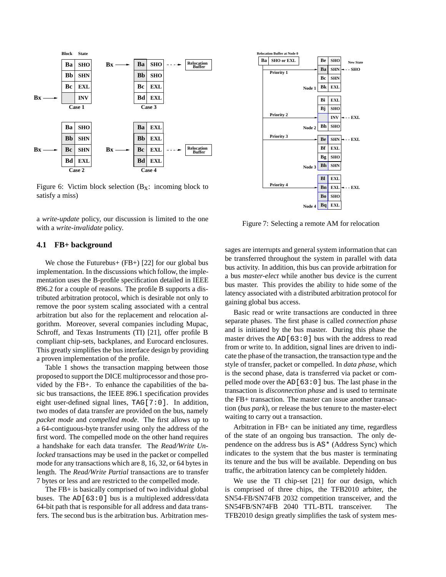

Figure 6: Victim block selection  $(B_X:$  incoming block to satisfy a miss)

a *write-update* policy, our discussion is limited to the one with a *write-invalidate* policy.

## **4.1 FB+ background**

We chose the Futurebus+  $(FB+)$  [22] for our global bus implementation. In the discussions which follow, the implementation uses the B-profile specification detailed in IEEE 896.2 for a couple of reasons. The profile B supports a distributed arbitration protocol, which is desirable not only to remove the poor system scaling associated with a central arbitration but also for the replacement and relocation algorithm. Moreover, several companies including Mupac, Schroff, and Texas Instruments (TI) [21], offer profile B compliant chip-sets, backplanes, and Eurocard enclosures. This greatly simplifies the bus interface design by providing a proven implementation of the profile.

Table 1 shows the transaction mapping between those proposed to support the DICE multiprocessor and those provided by the FB+. To enhance the capabilities of the basic bus transactions, the IEEE 896.1 specification provides eight user-defined signal lines,  $TAG[7:0]$ . In addition, two modes of data transfer are provided on the bus, namely *packet mode* and *compelled mode*. The first allows up to a 64-contiguous-byte transfer using only the address of the first word. The compelled mode on the other hand requires a handshake for each data transfer. The *Read/Write Unlocked* transactions may be used in the packet or compelled mode for any transactions which are 8, 16, 32, or 64 bytes in length. The *Read/Write Partial* transactions are to transfer 7 bytes or less and are restricted to the compelled mode.

The FB+ is basically comprised of two individual global buses. The  $AD[63:0]$  bus is a multiplexed address/data 64-bit path that is responsible for all address and data transfers. The second bus is the arbitration bus. Arbitration mes-



Figure 7: Selecting a remote AM for relocation

sages are interrupts and general system information that can be transferred throughout the system in parallel with data bus activity. In addition, this bus can provide arbitration for a bus *master-elect* while another bus device is the current bus master. This provides the ability to hide some of the latency associated with a distributed arbitration protocol for gaining global bus access.

Basic read or write transactions are conducted in three separate phases. The first phase is called *connection phase* and is initiated by the bus master. During this phase the master drives the  $AD[63:0]$  bus with the address to read from or write to. In addition, signal lines are driven to indicate the phase of the transaction, the transaction type and the style of transfer, packet or compelled. In *data phase*, which is the second phase, data is transferred via packet or compelled mode over the  $AD[63:0]$  bus. The last phase in the transaction is *disconnection phase* and is used to terminate the FB+ transaction. The master can issue another transaction (*bus park*), or release the bus tenure to the master-elect waiting to carry out a transaction.

Arbitration in FB+ can be initiated any time, regardless of the state of an ongoing bus transaction. The only dependence on the address bus is AS\* (Address Sync) which indicates to the system that the bus master is terminating its tenure and the bus will be available. Depending on bus traffic, the arbitration latency can be completely hidden.

We use the TI chip-set [21] for our design, which is comprised of three chips, the TFB2010 arbiter, the SN54-FB/SN74FB 2032 competition transceiver, and the SN54FB/SN74FB 2040 TTL-BTL transceiver. The TFB2010 design greatly simplifies the task of system mes-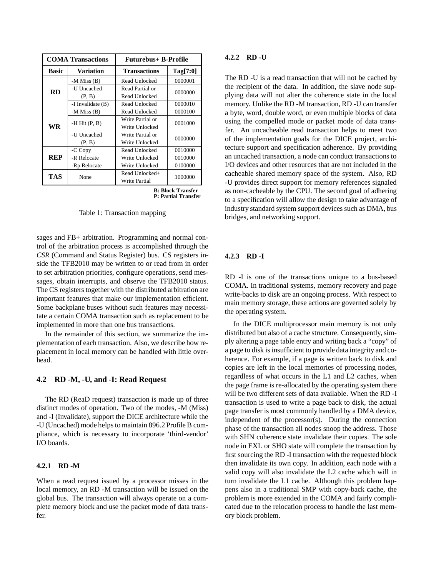| <b>COMA Transactions</b> |                   | <b>Futurebus+ B-Profile</b> |          |
|--------------------------|-------------------|-----------------------------|----------|
| <b>Basic</b>             | <b>Variation</b>  | <b>Transactions</b>         | Tag[7:0] |
| <b>RD</b>                | $-M$ Miss $(B)$   | Read Unlocked               | 0000001  |
|                          | -U Uncached       | Read Partial or             | 0000000  |
|                          | (P, B)            | Read Unlocked               |          |
|                          | -I Invalidate (B) | Read Unlocked               | 0000010  |
| <b>WR</b>                | $-M$ Miss $(B)$   | Read Unlocked               | 0000100  |
|                          | $-H Hit(P, B)$    | Write Partial or            | 0001000  |
|                          |                   | Write Unlocked              |          |
|                          | -U Uncached       | Write Partial or            | 0000000  |
|                          | (P, B)            | Write Unlocked              |          |
| <b>REP</b>               | -C Copy           | Read Unlocked               | 0010000  |
|                          | -R Relocate       | Write Unlocked              | 0010000  |
|                          | -Rp Relocate      | Write Unlocked              | 0100000  |
| <b>TAS</b>               | None              | Read Unlocked+              | 1000000  |
|                          |                   | Write Partial               |          |

**B: Block Transfer P: Partial Transfer**

Table 1: Transaction mapping

sages and FB+ arbitration. Programming and normal control of the arbitration process is accomplished through the *CSR* (Command and Status Register) bus. CS registers inside the TFB2010 may be written to or read from in order to set arbitration priorities, configure operations, send messages, obtain interrupts, and observe the TFB2010 status. The CS registers together with the distributed arbitration are important features that make our implementation efficient. Some backplane buses without such features may necessitate a certain COMA transaction such as replacement to be implemented in more than one bus transactions.

In the remainder of this section, we summarize the implementation of each transaction. Also, we describe how replacement in local memory can be handled with little overhead.

## **4.2 RD -M, -U, and -I: Read Request**

The RD (ReaD request) transaction is made up of three distinct modes of operation. Two of the modes, -M (Miss) and -I (Invalidate), support the DICE architecture while the -U (Uncached) mode helps to maintain 896.2 Profile B compliance, which is necessary to incorporate 'third-vendor' I/O boards.

## **4.2.1 RD -M**

When a read request issued by a processor misses in the local memory, an RD -M transaction will be issued on the global bus. The transaction will always operate on a complete memory block and use the packet mode of data transfer.

#### **4.2.2 RD -U**

The RD -U is a read transaction that will not be cached by the recipient of the data. In addition, the slave node supplying data will not alter the coherence state in the local memory. Unlike the RD -M transaction, RD -U can transfer a byte, word, double word, or even multiple blocks of data using the compelled mode or packet mode of data transfer. An uncacheable read transaction helps to meet two of the implementation goals for the DICE project, architecture support and specification adherence. By providing an uncached transaction, a node can conduct transactions to I/O devices and other resources that are not included in the cacheable shared memory space of the system. Also, RD -U provides direct support for memory references signaled as non-cacheable by the CPU. The second goal of adhering to a specification will allow the design to take advantage of industry standard system support devices such as DMA, bus bridges, and networking support.

## **4.2.3 RD -I**

RD -I is one of the transactions unique to a bus-based COMA. In traditional systems, memory recovery and page write-backs to disk are an ongoing process. With respect to main memory storage, these actions are governed solely by the operating system.

In the DICE multiprocessor main memory is not only distributed but also of a cache structure. Consequently, simply altering a page table entry and writing back a "copy" of a page to disk is insufficient to provide data integrity and coherence. For example, if a page is written back to disk and copies are left in the local memories of processing nodes, regardless of what occurs in the L1 and L2 caches, when the page frame is re-allocated by the operating system there will be two different sets of data available. When the RD -I transaction is used to write a page back to disk, the actual page transfer is most commonly handled by a DMA device, independent of the processor(s). During the connection phase of the transaction all nodes snoop the address. Those with SHN coherence state invalidate their copies. The sole node in EXL or SHO state will complete the transaction by first sourcing the RD -I transaction with the requested block then invalidate its own copy. In addition, each node with a valid copy will also invalidate the L2 cache which will in turn invalidate the L1 cache. Although this problem happens also in a traditional SMP with copy-back cache, the problem is more extended in the COMA and fairly complicated due to the relocation process to handle the last memory block problem.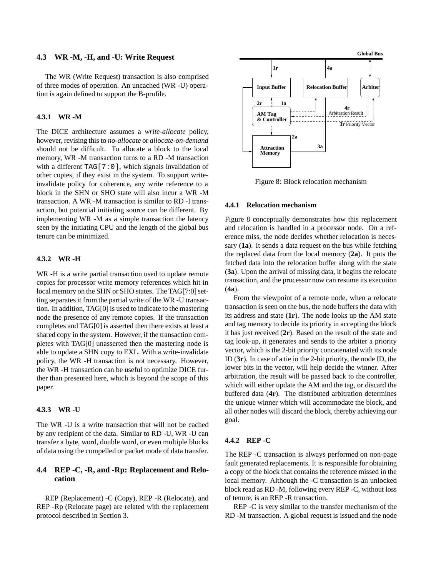#### **4.3 WR -M, -H, and -U: Write Request**

The WR (Write Request) transaction is also comprised of three modes of operation. An uncached (WR -U) operation is again defined to support the B-profile.

## **4.3.1 WR -M**

The DICE architecture assumes a *write-allocate* policy, however, revising this to *no-allocate* or *allocate-on-demand* should not be difficult. To allocate a block to the local memory, WR -M transaction turns to a RD -M transaction with a different  $TAG[7:0]$ , which signals invalidation of other copies, if they exist in the system. To support writeinvalidate policy for coherence, any write reference to a block in the SHN or SHO state will also incur a WR -M transaction. A WR -M transaction is similar to RD -I transaction, but potential initiating source can be different. By implementing WR -M as a simple transaction the latency seen by the initiating CPU and the length of the global bus tenure can be minimized.

#### **4.3.2 WR -H**

WR -H is a write partial transaction used to update remote copies for processor write memory references which hit in local memory on the SHN or SHO states. The TAG[7:0] setting separates it from the partial write of the WR -U transaction. In addition, TAG[0] is used to indicate to the mastering node the presence of any remote copies. If the transaction completes and TAG[0] is asserted then there exists at least a shared copy in the system. However, if the transaction completes with TAG[0] unasserted then the mastering node is able to update a SHN copy to EXL. With a write-invalidate policy, the WR -H transaction is not necessary. However, the WR -H transaction can be useful to optimize DICE further than presented here, which is beyond the scope of this paper.

## **4.3.3 WR -U**

The WR -U is a write transaction that will not be cached by any recipient of the data. Similar to RD -U, WR -U can transfer a byte, word, double word, or even multiple blocks of data using the compelled or packet mode of data transfer.

# **4.4 REP -C, -R, and -Rp: Replacement and Relocation**

REP (Replacement) -C (Copy), REP -R (Relocate), and REP -Rp (Relocate page) are related with the replacement protocol described in Section 3.



Figure 8: Block relocation mechanism

#### **4.4.1 Relocation mechanism**

Figure 8 conceptually demonstrates how this replacement and relocation is handled in a processor node. On a reference miss, the node decides whether relocation is necessary (**1a**). It sends a data request on the bus while fetching the replaced data from the local memory (**2a**). It puts the fetched data into the relocation buffer along with the state (**3a**). Upon the arrival of missing data, it begins the relocate transaction, and the processor now can resume its execution (**4a**).

From the viewpoint of a remote node, when a relocate transaction is seen on the bus, the node buffers the data with its address and state (**1r**). The node looks up the AM state and tag memory to decide its priority in accepting the block it has just received (**2r**). Based on the result of the state and tag look-up, it generates and sends to the arbiter a priority vector, which is the 2-bit priority concatenated with its node ID (**3r**). In case of a tie in the 2-bit priority, the node ID, the lower bits in the vector, will help decide the winner. After arbitration, the result will be passed back to the controller, which will either update the AM and the tag, or discard the buffered data (**4r**). The distributed arbitration determines the unique winner which will accommodate the block, and all other nodes will discard the block, thereby achieving our goal.

#### **4.4.2 REP -C**

The REP -C transaction is always performed on non-page fault generated replacements. It is responsible for obtaining a copy of the block that contains the reference missed in the local memory. Although the -C transaction is an unlocked block read as RD -M, following every REP -C, without loss of tenure, is an REP -R transaction.

REP -C is very similar to the transfer mechanism of the RD -M transaction. A global request is issued and the node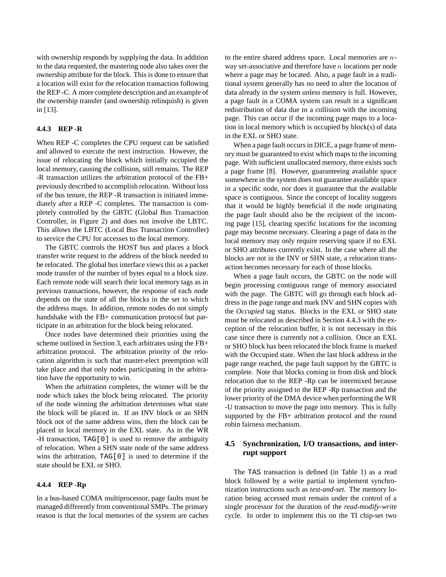with ownership responds by supplying the data. In addition to the data requested, the mastering node also takes over the ownership attribute for the block. This is done to ensure that a location will exist for the relocation transaction following the REP -C. A more complete description and an example of the ownership transfer (and ownership relinquish) is given in [13].

#### **4.4.3 REP -R**

When REP -C completes the CPU request can be satisfied and allowed to execute the next instruction. However, the issue of relocating the block which initially occupied the local memory, causing the collision, still remains. The REP -R transaction utilizes the arbitration protocol of the FB+ previously described to accomplish relocation. Without loss of the bus tenure, the REP -R transaction is initiated immediately after a REP -C completes. The transaction is completely controlled by the GBTC (Global Bus Transaction Controller, in Figure 2) and does not involve the LBTC. This allows the LBTC (Local Bus Transaction Controller) to service the CPU for accesses to the local memory.

The GBTC controls the HOST bus and places a block transfer write request to the address of the block needed to be relocated. The global bus interface views this as a packet mode transfer of the number of bytes equal to a block size. Each remote node will search their local memory tags as in previous transactions, however, the response of each node depends on the state of all the blocks in the set to which the address maps. In addition, remote nodes do not simply handshake with the FB+ communication protocol but participate in an arbitration for the block being relocated.

Once nodes have determined their priorities using the scheme outlined in Section 3, each arbitrates using the FB+ arbitration protocol. The arbitration priority of the relocation algorithm is such that master-elect preemption will take place and that only nodes participating in the arbitration have the opportunity to win.

When the arbitration completes, the winner will be the node which takes the block being relocated. The priority of the node winning the arbitration determines what state the block will be placed in. If an INV block or an SHN block not of the same address wins, then the block can be placed in local memory in the EXL state. As in the WR -H transaction, TAG[0] is used to remove the ambiguity of relocation. When a SHN state node of the same address wins the arbitration, TAG[0] is used to determine if the state should be EXL or SHO.

#### **4.4.4 REP -Rp**

In a bus-based COMA multiprocessor, page faults must be managed differently from conventional SMPs. The primary reason is that the local memories of the system are caches to the entire shared address space. Local memories are <sup>n</sup>way set-associative and therefore have <sup>n</sup> locations per node where a page may be located. Also, a page fault in a traditional system generally has no need to alter the location of data already in the system unless memory is full. However, a page fault in a COMA system can result in a significant redistribution of data due to a collision with the incoming page. This can occur if the incoming page maps to a location in local memory which is occupied by block(s) of data in the EXL or SHO state.

When a page fault occurs in DICE, a page frame of memory must be guaranteed to exist which maps to the incoming page. With sufficient unallocated memory, there exists such a page frame [8]. However, guaranteeing available space somewhere in the system does not guarantee available space in a specific node, nor does it guarantee that the available space is contiguous. Since the concept of locality suggests that it would be highly beneficial if the node originating the page fault should also be the recipient of the incoming page [15], clearing specific locations for the incoming page may become necessary. Clearing a page of data in the local memory may only require reserving space if no EXL or SHO attributes currently exist. In the case where all the blocks are not in the INV or SHN state, a relocation transaction becomes necessary for each of those blocks.

When a page fault occurs, the GBTC on the node will begin processing contiguous range of memory associated with the page. The GBTC will go through each block address in the page range and mark INV and SHN copies with the *Occupied* tag status. Blocks in the EXL or SHO state must be relocated as described in Section 4.4.3 with the exception of the relocation buffer, it is not necessary in this case since there is currently not a collision. Once an EXL or SHO block has been relocated the block frame is marked with the Occupied state. When the last block address in the page range reached, the page fault support by the GBTC is complete. Note that blocks coming in from disk and block relocation due to the REP -Rp can be intermixed because of the priority assigned to the REP -Rp transaction and the lower priority of the DMA device when performing the WR -U transaction to move the page into memory. This is fully supported by the FB+ arbitration protocol and the round robin fairness mechanism.

# **4.5 Synchronization, I/O transactions, and interrupt support**

The TAS transaction is defined (in Table 1) as a read block followed by a write partial to implement synchronization instructions such as *test-and-set*. The memory location being accessed must remain under the control of a single processor for the duration of the *read-modify-write* cycle. In order to implement this on the TI chip-set two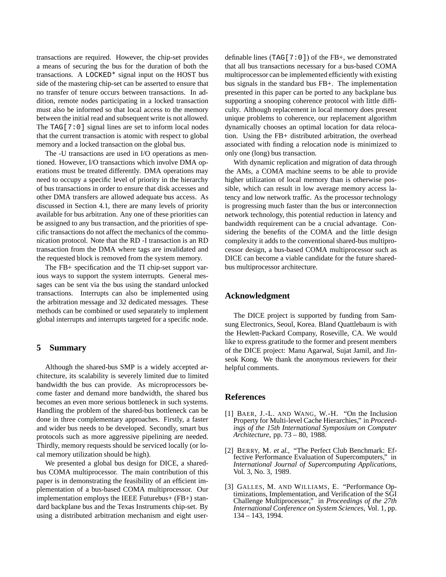transactions are required. However, the chip-set provides a means of securing the bus for the duration of both the transactions. A LOCKED\* signal input on the HOST bus side of the mastering chip-set can be asserted to ensure that no transfer of tenure occurs between transactions. In addition, remote nodes participating in a locked transaction must also be informed so that local access to the memory between the initial read and subsequent write is not allowed. The TAG[ $7:0$ ] signal lines are set to inform local nodes that the current transaction is atomic with respect to global memory and a locked transaction on the global bus.

The -U transactions are used in I/O operations as mentioned. However, I/O transactions which involve DMA operations must be treated differently. DMA operations may need to occupy a specific level of priority in the hierarchy of bus transactions in order to ensure that disk accesses and other DMA transfers are allowed adequate bus access. As discussed in Section 4.1, there are many levels of priority available for bus arbitration. Any one of these priorities can be assigned to any bus transaction, and the priorities of specific transactions do not affect the mechanics of the communication protocol. Note that the RD -I transaction is an RD transaction from the DMA where tags are invalidated and the requested block is removed from the system memory.

The FB+ specification and the TI chip-set support various ways to support the system interrupts. General messages can be sent via the bus using the standard unlocked transactions. Interrupts can also be implemented using the arbitration message and 32 dedicated messages. These methods can be combined or used separately to implement global interrupts and interrupts targeted for a specific node.

## **5 Summary**

Although the shared-bus SMP is a widely accepted architecture, its scalability is severely limited due to limited bandwidth the bus can provide. As microprocessors become faster and demand more bandwidth, the shared bus becomes an even more serious bottleneck in such systems. Handling the problem of the shared-bus bottleneck can be done in three complementary approaches. Firstly, a faster and wider bus needs to be developed. Secondly, smart bus protocols such as more aggressive pipelining are needed. Thirdly, memory requests should be serviced locally (or local memory utilization should be high).

We presented a global bus design for DICE, a sharedbus COMA multiprocessor. The main contribution of this paper is in demonstrating the feasibility of an efficient implementation of a bus-based COMA multiprocessor. Our implementation employs the IEEE Futurebus+ (FB+) standard backplane bus and the Texas Instruments chip-set. By using a distributed arbitration mechanism and eight userdefinable lines  $(TAG[7:0])$  of the FB+, we demonstrated that all bus transactions necessary for a bus-based COMA multiprocessor can be implemented efficiently with existing bus signals in the standard bus FB+. The implementation presented in this paper can be ported to any backplane bus supporting a snooping coherence protocol with little difficulty. Although replacement in local memory does present unique problems to coherence, our replacement algorithm dynamically chooses an optimal location for data relocation. Using the FB+ distributed arbitration, the overhead associated with finding a relocation node is minimized to only one (long) bus transaction.

With dynamic replication and migration of data through the AMs, a COMA machine seems to be able to provide higher utilization of local memory than is otherwise possible, which can result in low average memory access latency and low network traffic. As the processor technology is progressing much faster than the bus or interconnection network technology, this potential reduction in latency and bandwidth requirement can be a crucial advantage. Considering the benefits of the COMA and the little design complexity it adds to the conventional shared-bus multiprocessor design, a bus-based COMA multiprocessor such as DICE can become a viable candidate for the future sharedbus multiprocessor architecture.

# **Acknowledgment**

The DICE project is supported by funding from Samsung Electronics, Seoul, Korea. Bland Quattlebaum is with the Hewlett-Packard Company, Roseville, CA. We would like to express gratitude to the former and present members of the DICE project: Manu Agarwal, Sujat Jamil, and Jinseok Kong. We thank the anonymous reviewers for their helpful comments.

## **References**

- [1] BAER, J.-L. AND WANG, W.-H. "On the Inclusion Property for Multi-level Cache Hierarchies," in *Proceedings of the 15th International Symposium on Computer Architecture*, pp. 73 – 80, 1988.
- [2] BERRY, M. et al., "The Perfect Club Benchmark: Effective Performance Evaluation of Supercomputers," in *International Journal of Supercomputing Applications*, Vol. 3, No. 3, 1989.
- [3] GALLES, M. AND WILLIAMS, E. "Performance Optimizations, Implementation, and Verification of the SGI Challenge Multiprocessor," in *Proceedings of the 27th International Conference on System Sciences*, Vol. 1, pp. 134 – 143, 1994.